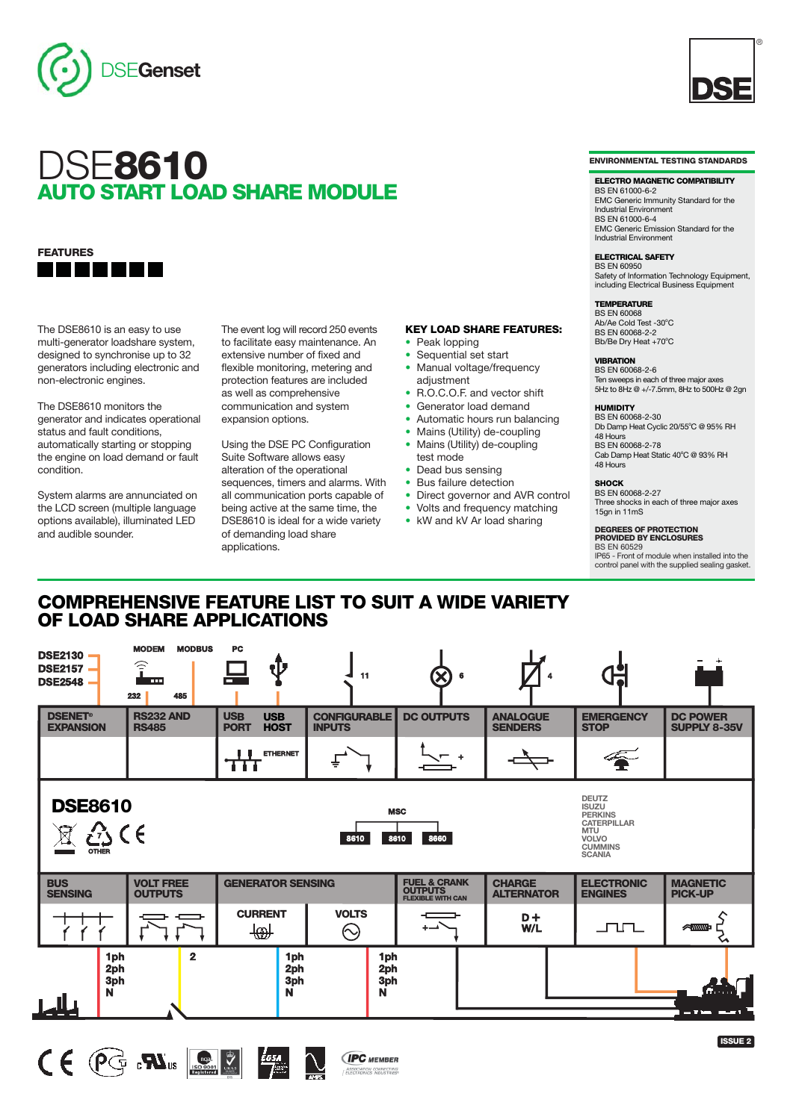

# DSE**8610 AUTO START LOAD SHARE MODULE**

## **FEATURES**

The DSE8610 is an easy to use multi-generator loadshare system, designed to synchronise up to 32 generators including electronic and non-electronic engines.

The DSE8610 monitors the generator and indicates operational status and fault conditions, automatically starting or stopping the engine on load demand or fault condition.

System alarms are annunciated on the LCD screen (multiple language options available), illuminated LED and audible sounder.

The event log will record 250 events to facilitate easy maintenance. An extensive number of fixed and flexible monitoring, metering and protection features are included as well as comprehensive communication and system expansion options.

Using the DSE PC Configuration Suite Software allows easy alteration of the operational sequences, timers and alarms. With all communication ports capable of being active at the same time, the DSE8610 is ideal for a wide variety of demanding load share applications.

- **KEY LOAD SHARE FEATURES:**
- **•** Peak lopping
- **•** Sequential set start
- **•** Manual voltage/frequency adjustment
- **•** R.O.C.O.F. and vector shift
- **•** Generator load demand
- **•** Automatic hours run balancing
- **•** Mains (Utility) de-coupling **•** Mains (Utility) de-coupling
- test mode
- **•** Dead bus sensing
- **•** Bus failure detection
- **•** Direct governor and AVR control
- Volts and frequency matching
- **•** kW and kV Ar load sharing

**ENVIRONMENTAL TESTING STANDARDS**

®

#### **ELECTRO MAGNETIC COMPATIBILITY**

BS EN 61000-6-2 EMC Generic Immunity Standard for the Industrial Environment BS EN 61000-6-4 EMC Generic Emission Standard for the Industrial Environment

**ELECTRICAL SAFETY** BS EN 60950

Safety of Information Technology Equipment, including Electrical Business Equipment

## **TEMPERATURE**

**BS EN 60068** Ab/Ae Cold Test -30°C<br>BS EN 60068-2-2 Bb/Be Dry Heat +70°C

## **VIBRATION** BS EN 60068-2-6

Ten sweeps in each of three major axes 5Hz to 8Hz @ +/-7.5mm, 8Hz to 500Hz @ 2gn

## **HUMIDITY**

BS EN 60068-2-30 Db Damp Heat Cyclic 20/55°C @ 95% RH 48 Hours BS EN 60068-2-78 Cab Damp Heat Static 40°C @ 93% RH 48 Hours

#### **SHOCK**

BS EN 60068-2-27 Three shocks in each of three major axes 15gn in 11mS

**DEGREES OF PROTECTION PROVIDED BY ENCLOSURES** BS EN 60529 IP65 - Front of module when installed into the control panel with the supplied sealing gasket.

## **COMPREHENSIVE FEATURE LIST TO SUIT A WIDE VARIETY OF LOAD SHARE APPLICATIONS**

| <b>DSE2130</b><br><b>DSE2157</b><br><b>DSE2548</b>                                                                                                                                                            | <b>MODEM</b><br><b>MODBUS</b><br>$\widehat{\cdot}$<br><b>THE</b><br>485<br>232 | PC                                                     | 11                                   | $\boldsymbol{\times}$                                                 |                                    |                                     |                                        |
|---------------------------------------------------------------------------------------------------------------------------------------------------------------------------------------------------------------|--------------------------------------------------------------------------------|--------------------------------------------------------|--------------------------------------|-----------------------------------------------------------------------|------------------------------------|-------------------------------------|----------------------------------------|
| <b>DSENET<sup>®</sup></b><br><b>EXPANSION</b>                                                                                                                                                                 | <b>RS232 AND</b><br><b>RS485</b>                                               | <b>USB</b><br><b>USB</b><br><b>PORT</b><br><b>HOST</b> | <b>CONFIGURABLE</b><br><b>INPUTS</b> | <b>DC OUTPUTS</b>                                                     | <b>ANALOGUE</b><br><b>SENDERS</b>  | <b>EMERGENCY</b><br><b>STOP</b>     | <b>DC POWER</b><br><b>SUPPLY 8-35V</b> |
|                                                                                                                                                                                                               |                                                                                | <b>ETHERNET</b><br>.                                   |                                      |                                                                       |                                    |                                     |                                        |
| <b>DEUTZ</b><br><b>DSE8610</b><br><b>ISUZU</b><br><b>MSC</b><br><b>PERKINS</b><br><b>CATERPILLAR</b><br><b>MTU</b><br>8610<br>8660<br>8610<br><b>VOLVO</b><br><b>CUMMINS</b><br><b>OTHER</b><br><b>SCANIA</b> |                                                                                |                                                        |                                      |                                                                       |                                    |                                     |                                        |
| <b>VOLT FREE</b><br><b>BUS</b><br><b>SENSING</b><br><b>OUTPUTS</b>                                                                                                                                            |                                                                                | <b>GENERATOR SENSING</b>                               |                                      | <b>FUEL &amp; CRANK</b><br><b>OUTPUTS</b><br><b>FLEXIBLE WITH CAN</b> | <b>CHARGE</b><br><b>ALTERNATOR</b> | <b>ELECTRONIC</b><br><b>ENGINES</b> | <b>MAGNETIC</b><br><b>PICK-UP</b>      |
|                                                                                                                                                                                                               |                                                                                | <b>CURRENT</b><br>ा®ी                                  | <b>VOLTS</b><br>$\odot$              |                                                                       | $D+$<br>W/L                        | ᅩᅮᇅ                                 | <b>ANNIN-</b>                          |
| 1ph<br>2ph<br>3ph<br>N                                                                                                                                                                                        | $\overline{2}$                                                                 | 1ph<br>2ph<br>3ph<br>$\mathbf N$                       | 1ph<br>2ph<br>3ph<br>N               |                                                                       |                                    |                                     |                                        |
|                                                                                                                                                                                                               |                                                                                |                                                        |                                      |                                                                       |                                    |                                     |                                        |